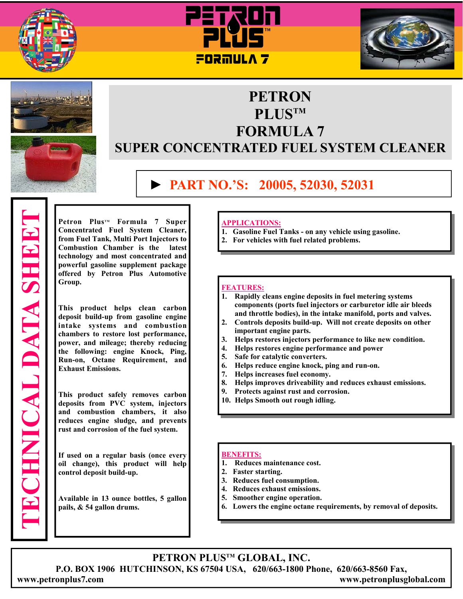









# **PETRON PLUSTM FORMULA 7 SUPER CONCENTRATED FUEL SYSTEM CLEANER**

# **► PART NO.'S: 20005, 52030, 52031**

**Concentrated Fuel System Cleaner, from Fuel Tank, Multi Port Injectors to Combustion Chamber is the technology and most concentrated and powerful gasoline supplement package offered by Petron Plus Automotive Group.** 

**Petron Plus<sup>rm</sup> Formula 7 Super<br>
Concentrated Fuel System Cleaner,<br>
from Fuel Tank, Multi Port Injectors to<br>
technology and most concentrated and<br>
powerful gasoline supplement package<br>
offered by Petron Plus Automotive<br>
G This product helps clean carbon deposit build-up from gasoline engine intake systems and combustion chambers to restore lost performance, power, and mileage; thereby reducing the following: engine Knock, Ping, Run-on, Octane Requirement, and Exhaust Emissions.** 

**This product safely removes carbon deposits from PVC system, injectors and combustion chambers, it also reduces engine sludge, and prevents rust and corrosion of the fuel system.** 

**If used on a regular basis (once every oil change), this product will help control deposit build-up.** 

**Available in 13 ounce bottles, 5 gallon pails, & 54 gallon drums.**

## **APPLICATIONS:**

- **1. Gasoline Fuel Tanks on any vehicle using gasoline.**
- **2. For vehicles with fuel related problems.**

#### **FEATURES:**

- **1. Rapidly cleans engine deposits in fuel metering systems components (ports fuel injectors or carburetor idle air bleeds and throttle bodies), in the intake manifold, ports and valves.**
- **2. Controls deposits build-up. Will not create deposits on other important engine parts.**
- **3. Helps restores injectors performance to like new condition.**
- **4. Helps restores engine performance and power**
- **5. Safe for catalytic converters.**
- **6. Helps reduce engine knock, ping and run-on.**
- **7. Helps increases fuel economy.**
- **8. Helps improves driveability and reduces exhaust emissions.**
- **9. Protects against rust and corrosion.**
- **10. Helps Smooth out rough idling.**

#### **BENEFITS:**

- **1. Reduces maintenance cost.**
- **2. Faster starting.**
- **3. Reduces fuel consumption.**
- **4. Reduces exhaust emissions.**
- **5. Smoother engine operation.**
- **6. Lowers the engine octane requirements, by removal of deposits.**

**PETRON PLUSTM GLOBAL, INC.** 

**P.O. BOX 1906 HUTCHINSON, KS 67504 USA, 620/663-1800 Phone, 620/663-8560 Fax,** 

**www.petronplus7.com www.petronplusglobal.com**